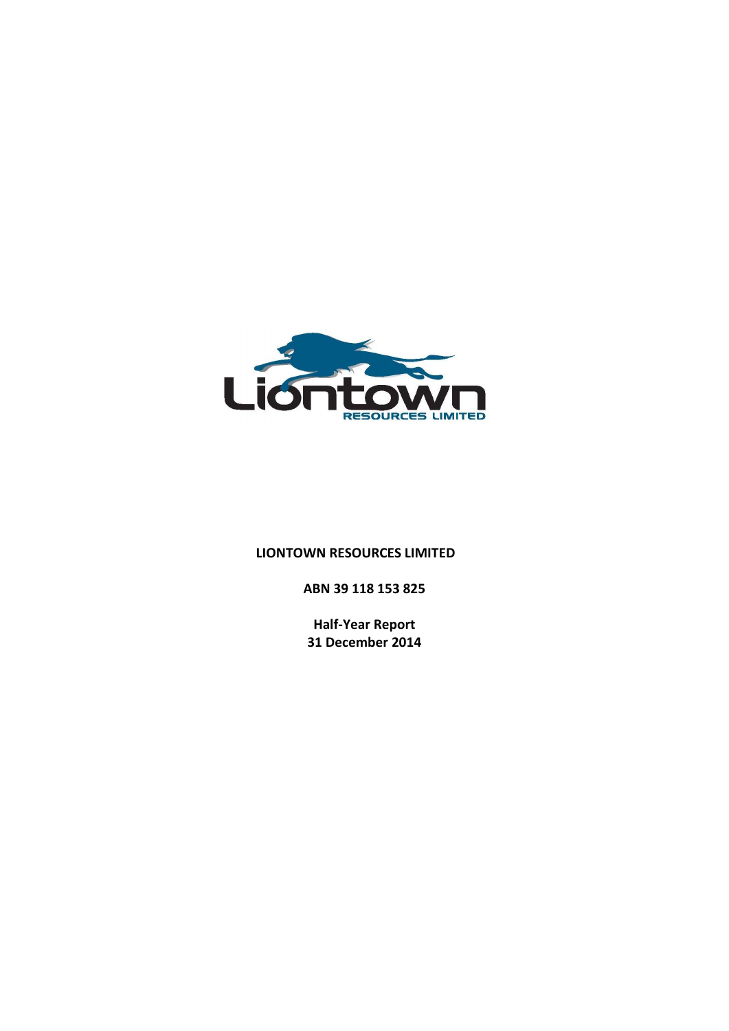

# **LIONTOWN RESOURCES LIMITED**

**ABN 39 118 153 825**

**Half-Year Report 31 December 2014**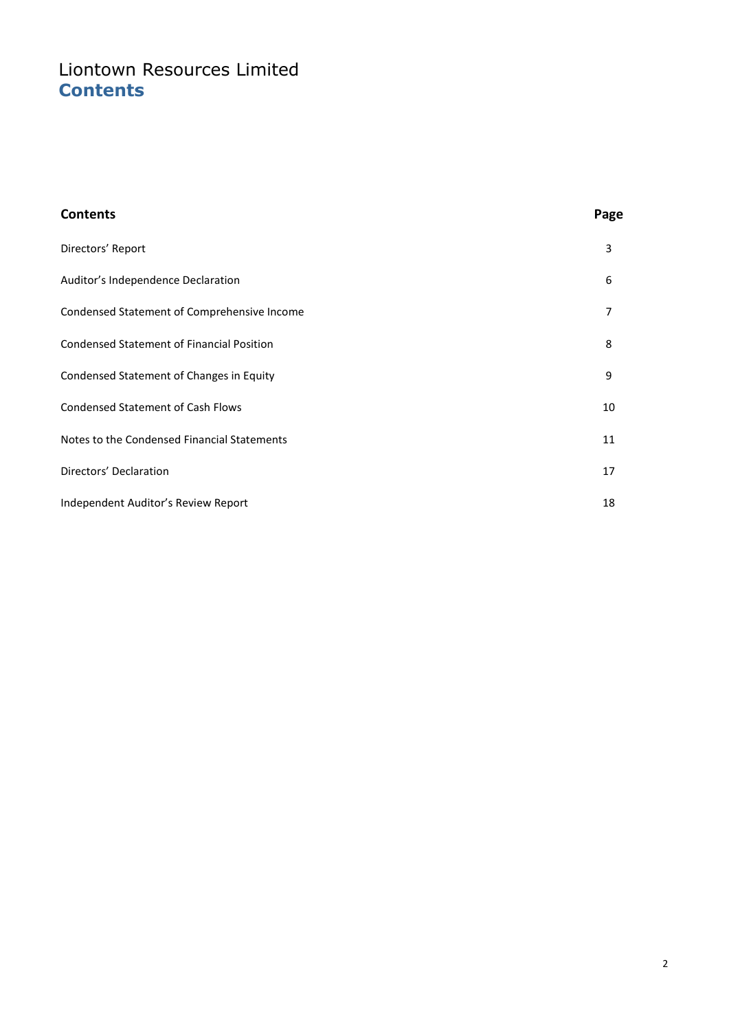# Liontown Resources Limited **Contents**

| <b>Contents</b>                                  | Page |
|--------------------------------------------------|------|
| Directors' Report                                | 3    |
| Auditor's Independence Declaration               | 6    |
| Condensed Statement of Comprehensive Income      | 7    |
| <b>Condensed Statement of Financial Position</b> | 8    |
| Condensed Statement of Changes in Equity         | 9    |
| <b>Condensed Statement of Cash Flows</b>         | 10   |
| Notes to the Condensed Financial Statements      | 11   |
| Directors' Declaration                           | 17   |
| Independent Auditor's Review Report              | 18   |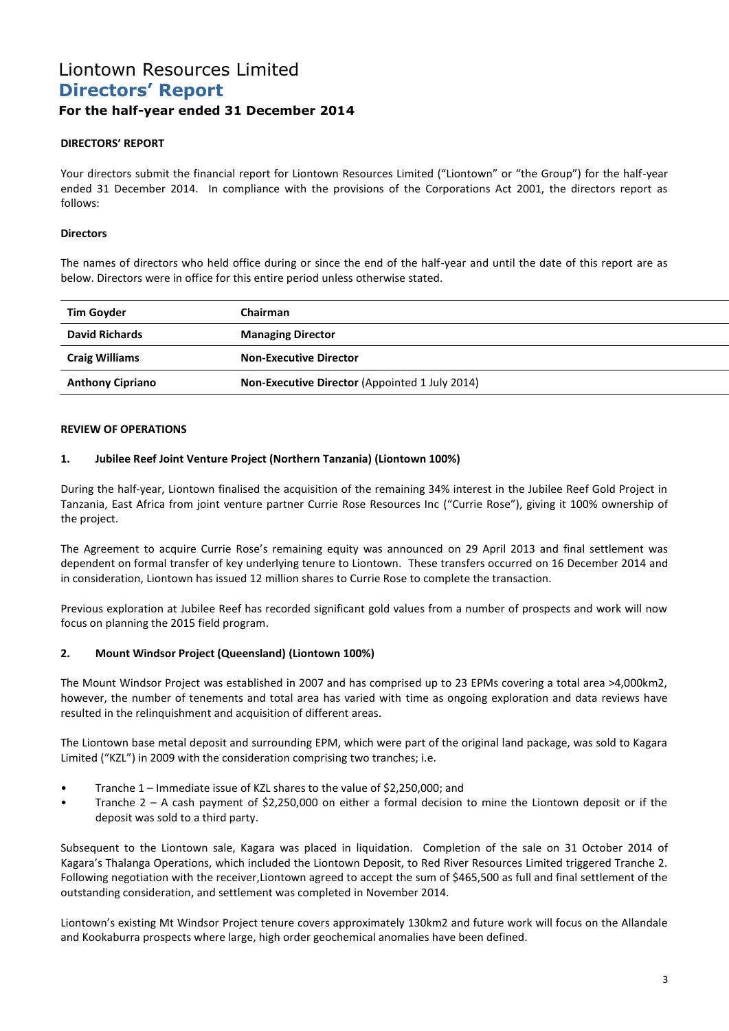# Liontown Resources Limited **Directors' Report For the half-year ended 31 December 2014**

# **DIRECTORS' REPORT**

Your directors submit the financial report for Liontown Resources Limited ("Liontown" or "the Group") for the half-year ended 31 December 2014. In compliance with the provisions of the Corporations Act 2001, the directors report as follows:

## **Directors**

The names of directors who held office during or since the end of the half-year and until the date of this report are as below. Directors were in office for this entire period unless otherwise stated.

| <b>Tim Goyder</b>       | Chairman                                       |
|-------------------------|------------------------------------------------|
| <b>David Richards</b>   | <b>Managing Director</b>                       |
| <b>Craig Williams</b>   | <b>Non-Executive Director</b>                  |
| <b>Anthony Cipriano</b> | Non-Executive Director (Appointed 1 July 2014) |

## **REVIEW OF OPERATIONS**

## **1. Jubilee Reef Joint Venture Project (Northern Tanzania) (Liontown 100%)**

During the half-year, Liontown finalised the acquisition of the remaining 34% interest in the Jubilee Reef Gold Project in Tanzania, East Africa from joint venture partner Currie Rose Resources Inc ("Currie Rose"), giving it 100% ownership of the project.

The Agreement to acquire Currie Rose's remaining equity was announced on 29 April 2013 and final settlement was dependent on formal transfer of key underlying tenure to Liontown. These transfers occurred on 16 December 2014 and in consideration, Liontown has issued 12 million shares to Currie Rose to complete the transaction.

Previous exploration at Jubilee Reef has recorded significant gold values from a number of prospects and work will now focus on planning the 2015 field program.

## **2. Mount Windsor Project (Queensland) (Liontown 100%)**

The Mount Windsor Project was established in 2007 and has comprised up to 23 EPMs covering a total area >4,000km2, however, the number of tenements and total area has varied with time as ongoing exploration and data reviews have resulted in the relinquishment and acquisition of different areas.

The Liontown base metal deposit and surrounding EPM, which were part of the original land package, was sold to Kagara Limited ("KZL") in 2009 with the consideration comprising two tranches; i.e.

- Tranche 1 Immediate issue of KZL shares to the value of \$2,250,000; and
- Tranche 2 A cash payment of \$2,250,000 on either a formal decision to mine the Liontown deposit or if the deposit was sold to a third party.

Subsequent to the Liontown sale, Kagara was placed in liquidation. Completion of the sale on 31 October 2014 of Kagara's Thalanga Operations, which included the Liontown Deposit, to Red River Resources Limited triggered Tranche 2. Following negotiation with the receiver,Liontown agreed to accept the sum of \$465,500 as full and final settlement of the outstanding consideration, and settlement was completed in November 2014.

Liontown's existing Mt Windsor Project tenure covers approximately 130km2 and future work will focus on the Allandale and Kookaburra prospects where large, high order geochemical anomalies have been defined.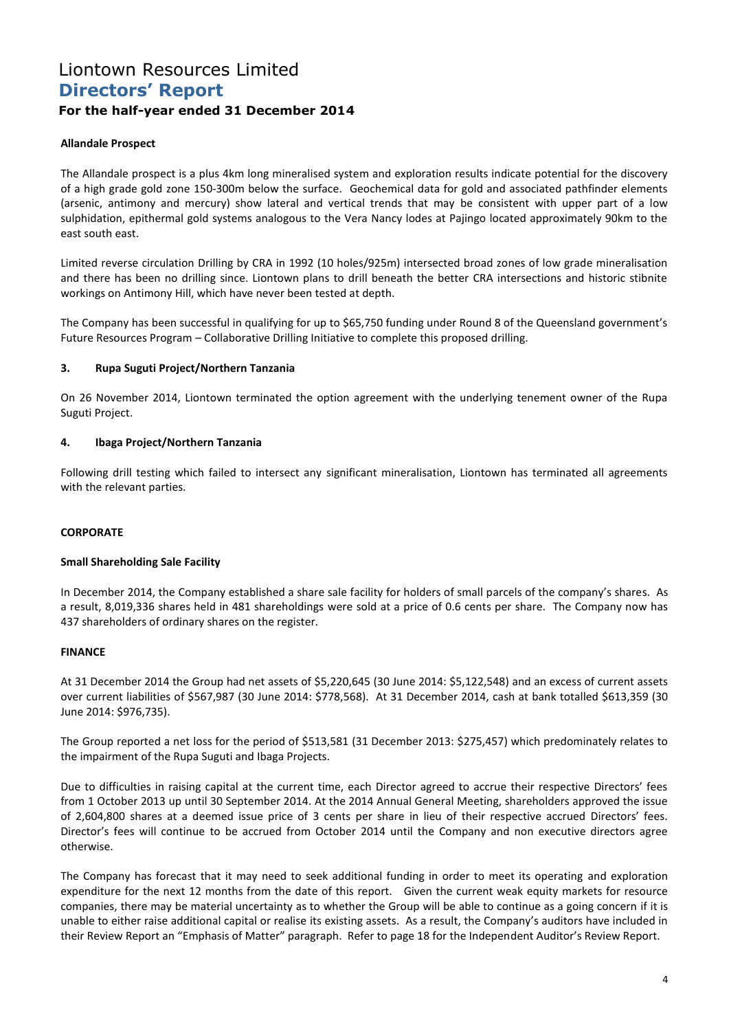# Liontown Resources Limited **Directors' Report For the half-year ended 31 December 2014**

## **Allandale Prospect**

The Allandale prospect is a plus 4km long mineralised system and exploration results indicate potential for the discovery of a high grade gold zone 150-300m below the surface. Geochemical data for gold and associated pathfinder elements (arsenic, antimony and mercury) show lateral and vertical trends that may be consistent with upper part of a low sulphidation, epithermal gold systems analogous to the Vera Nancy lodes at Pajingo located approximately 90km to the east south east.

Limited reverse circulation Drilling by CRA in 1992 (10 holes/925m) intersected broad zones of low grade mineralisation and there has been no drilling since. Liontown plans to drill beneath the better CRA intersections and historic stibnite workings on Antimony Hill, which have never been tested at depth.

The Company has been successful in qualifying for up to \$65,750 funding under Round 8 of the Queensland government's Future Resources Program – Collaborative Drilling Initiative to complete this proposed drilling.

## **3. Rupa Suguti Project/Northern Tanzania**

On 26 November 2014, Liontown terminated the option agreement with the underlying tenement owner of the Rupa Suguti Project.

#### **4. Ibaga Project/Northern Tanzania**

Following drill testing which failed to intersect any significant mineralisation, Liontown has terminated all agreements with the relevant parties.

#### **CORPORATE**

#### **Small Shareholding Sale Facility**

In December 2014, the Company established a share sale facility for holders of small parcels of the company's shares. As a result, 8,019,336 shares held in 481 shareholdings were sold at a price of 0.6 cents per share. The Company now has 437 shareholders of ordinary shares on the register.

#### **FINANCE**

At 31 December 2014 the Group had net assets of \$5,220,645 (30 June 2014: \$5,122,548) and an excess of current assets over current liabilities of \$567,987 (30 June 2014: \$778,568). At 31 December 2014, cash at bank totalled \$613,359 (30 June 2014: \$976,735).

The Group reported a net loss for the period of \$513,581 (31 December 2013: \$275,457) which predominately relates to the impairment of the Rupa Suguti and Ibaga Projects.

Due to difficulties in raising capital at the current time, each Director agreed to accrue their respective Directors' fees from 1 October 2013 up until 30 September 2014. At the 2014 Annual General Meeting, shareholders approved the issue of 2,604,800 shares at a deemed issue price of 3 cents per share in lieu of their respective accrued Directors' fees. Director's fees will continue to be accrued from October 2014 until the Company and non executive directors agree otherwise.

The Company has forecast that it may need to seek additional funding in order to meet its operating and exploration expenditure for the next 12 months from the date of this report. Given the current weak equity markets for resource companies, there may be material uncertainty as to whether the Group will be able to continue as a going concern if it is unable to either raise additional capital or realise its existing assets. As a result, the Company's auditors have included in their Review Report an "Emphasis of Matter" paragraph. Refer to page 18 for the Independent Auditor's Review Report.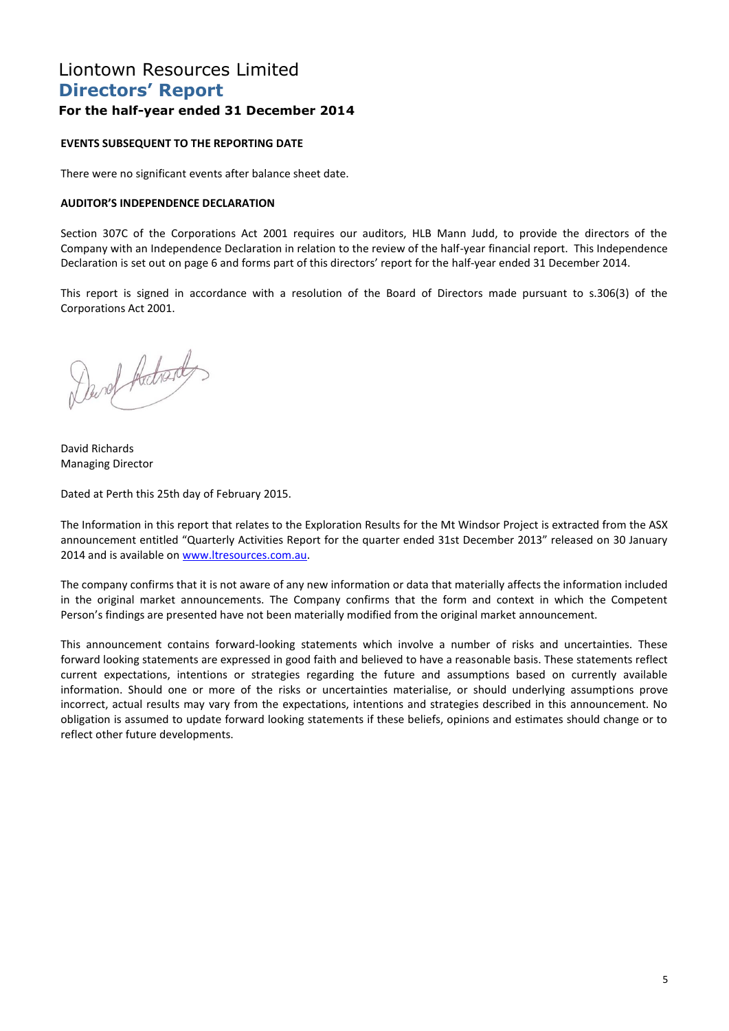# Liontown Resources Limited **Directors' Report**

# **For the half-year ended 31 December 2014**

## **EVENTS SUBSEQUENT TO THE REPORTING DATE**

There were no significant events after balance sheet date.

#### **AUDITOR'S INDEPENDENCE DECLARATION**

Section 307C of the Corporations Act 2001 requires our auditors, HLB Mann Judd, to provide the directors of the Company with an Independence Declaration in relation to the review of the half-year financial report. This Independence Declaration is set out on page 6 and forms part of this directors' report for the half-year ended 31 December 2014.

This report is signed in accordance with a resolution of the Board of Directors made pursuant to s.306(3) of the Corporations Act 2001.

David Adverd

David Richards Managing Director

Dated at Perth this 25th day of February 2015.

The Information in this report that relates to the Exploration Results for the Mt Windsor Project is extracted from the ASX announcement entitled "Quarterly Activities Report for the quarter ended 31st December 2013" released on 30 January 2014 and is available on [www.ltresources.com.au.](http://www.ltresources.com.au/)

The company confirms that it is not aware of any new information or data that materially affects the information included in the original market announcements. The Company confirms that the form and context in which the Competent Person's findings are presented have not been materially modified from the original market announcement.

This announcement contains forward-looking statements which involve a number of risks and uncertainties. These forward looking statements are expressed in good faith and believed to have a reasonable basis. These statements reflect current expectations, intentions or strategies regarding the future and assumptions based on currently available information. Should one or more of the risks or uncertainties materialise, or should underlying assumptions prove incorrect, actual results may vary from the expectations, intentions and strategies described in this announcement. No obligation is assumed to update forward looking statements if these beliefs, opinions and estimates should change or to reflect other future developments.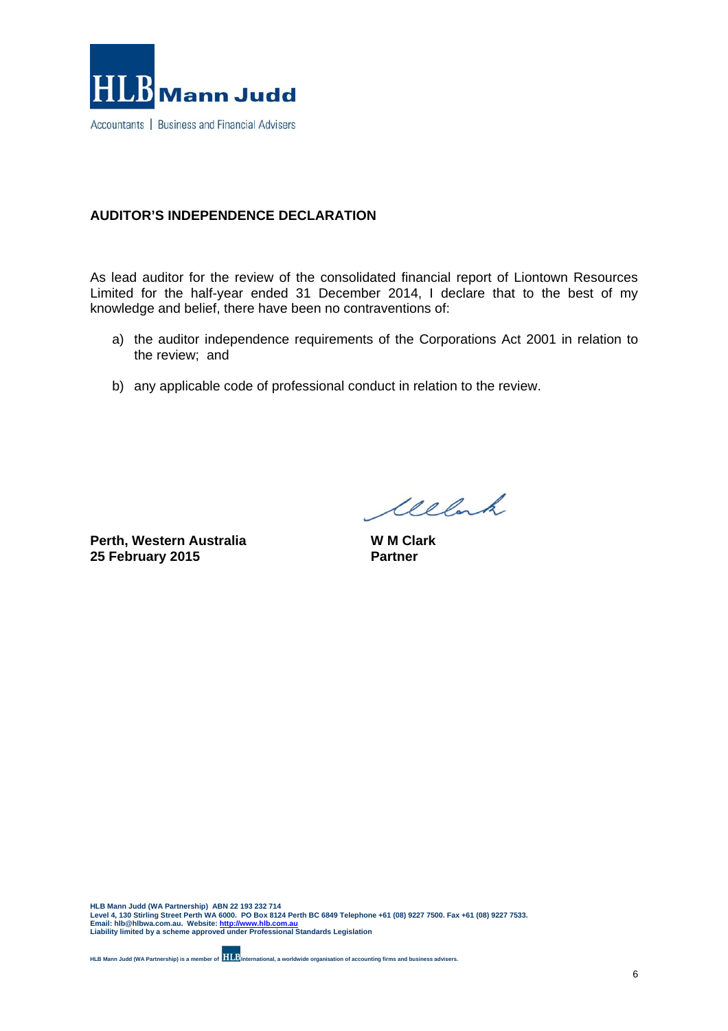

# **AUDITOR'S INDEPENDENCE DECLARATION**

As lead auditor for the review of the consolidated financial report of Liontown Resources Limited for the half-year ended 31 December 2014, I declare that to the best of my knowledge and belief, there have been no contraventions of:

- a) the auditor independence requirements of the Corporations Act 2001 in relation to the review; and
- b) any applicable code of professional conduct in relation to the review.

**Perth, Western Australia 25 February 2015** 

lelak

**W M Clark Partner**

**HLB Mann Judd (WA Partnership) ABN 22 193 232 714 Level 4, 130 Stirling Street Perth WA 6000. PO Box 8124 Perth BC 6849 Telephone +61 (08) 9227 7500. Fax +61 (08) 9227 7533. Email: hlb@hlbwa.com.au. Website: http://www.hlb.com.au Liability limited by a scheme approved under Professional Standards Legislation** 

**HLB Mann Judd (WA Partnership) is a member of <b>HLIB** International, a worldwide organisation of accounting firms and business advisers.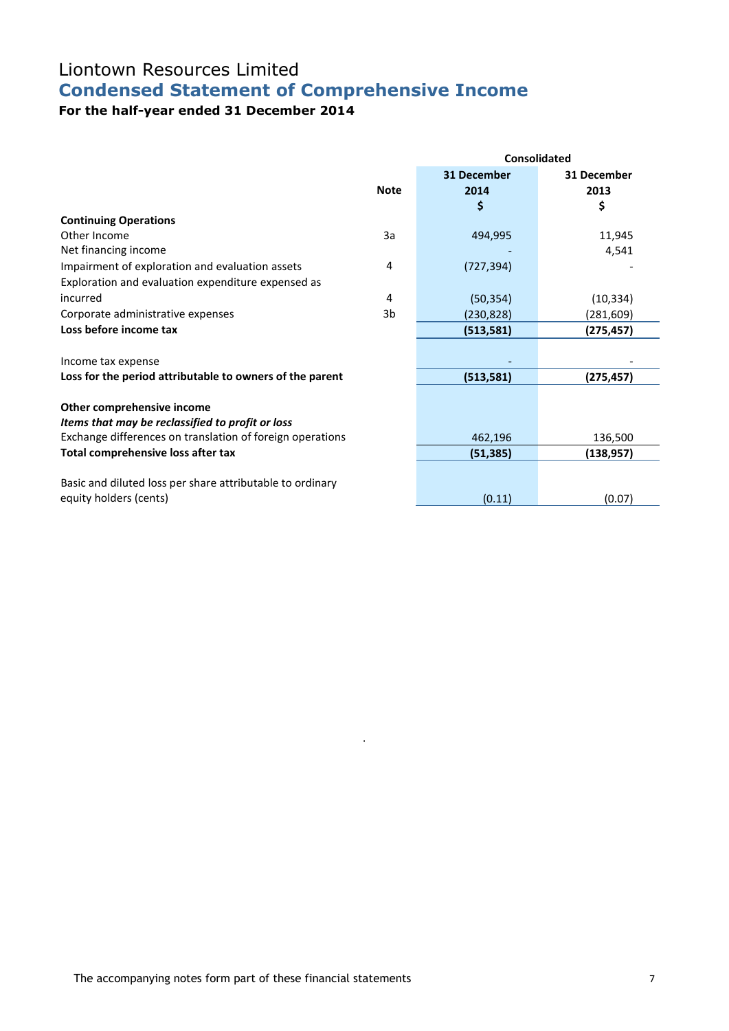# Liontown Resources Limited **Condensed Statement of Comprehensive Income**

# **For the half-year ended 31 December 2014**

|                                                           |             | Consolidated |            |  |  |
|-----------------------------------------------------------|-------------|--------------|------------|--|--|
|                                                           |             | 31 December  |            |  |  |
|                                                           | <b>Note</b> | 2014         | 2013       |  |  |
|                                                           |             | Ş            | Ş          |  |  |
| <b>Continuing Operations</b>                              |             |              |            |  |  |
| Other Income                                              | 3a          | 494,995      | 11,945     |  |  |
| Net financing income                                      |             |              | 4,541      |  |  |
| Impairment of exploration and evaluation assets           | 4           | (727, 394)   |            |  |  |
| Exploration and evaluation expenditure expensed as        |             |              |            |  |  |
| incurred                                                  | 4           | (50, 354)    | (10, 334)  |  |  |
| Corporate administrative expenses                         | 3b          | (230,828)    | (281,609)  |  |  |
| Loss before income tax                                    |             | (513, 581)   | (275, 457) |  |  |
|                                                           |             |              |            |  |  |
| Income tax expense                                        |             |              |            |  |  |
| Loss for the period attributable to owners of the parent  |             | (513, 581)   | (275, 457) |  |  |
|                                                           |             |              |            |  |  |
| Other comprehensive income                                |             |              |            |  |  |
| Items that may be reclassified to profit or loss          |             |              |            |  |  |
| Exchange differences on translation of foreign operations |             | 462,196      | 136,500    |  |  |
| Total comprehensive loss after tax                        |             | (51, 385)    | (138, 957) |  |  |
|                                                           |             |              |            |  |  |
| Basic and diluted loss per share attributable to ordinary |             |              |            |  |  |
| equity holders (cents)                                    |             | (0.11)       | (0.07)     |  |  |

.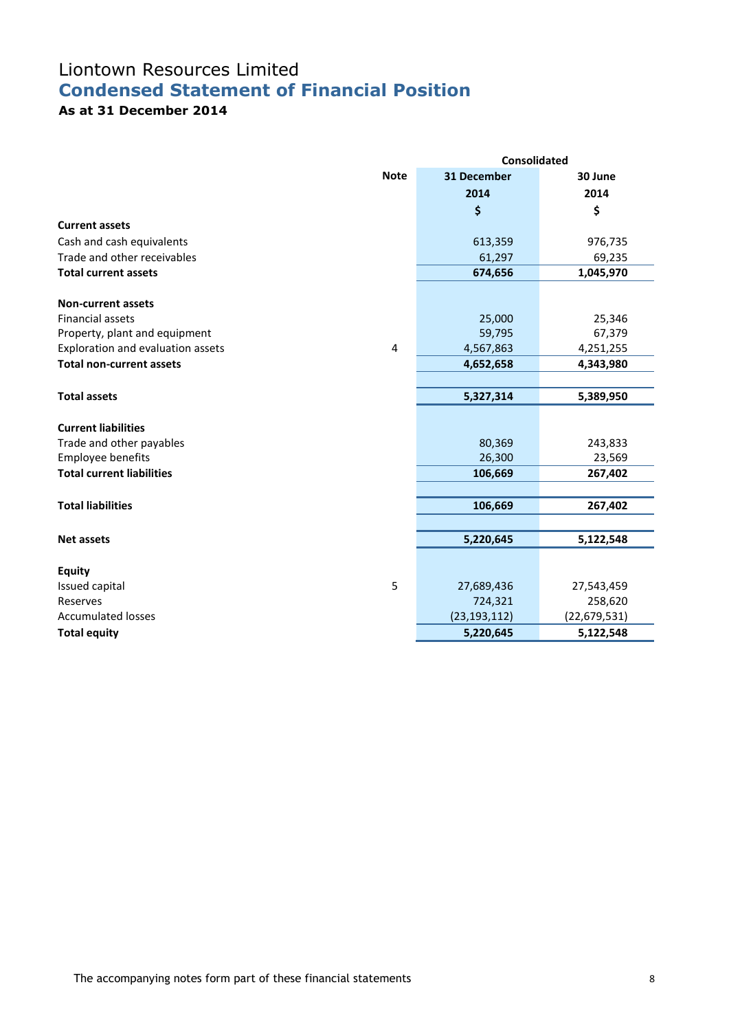# Liontown Resources Limited **Condensed Statement of Financial Position**

**As at 31 December 2014**

|                                   |             | Consolidated           |                |  |  |
|-----------------------------------|-------------|------------------------|----------------|--|--|
|                                   | <b>Note</b> | 31 December<br>30 June |                |  |  |
|                                   |             | 2014                   | 2014           |  |  |
|                                   |             | \$                     | \$             |  |  |
| <b>Current assets</b>             |             |                        |                |  |  |
| Cash and cash equivalents         |             | 613,359                | 976,735        |  |  |
| Trade and other receivables       |             | 61,297                 | 69,235         |  |  |
| <b>Total current assets</b>       |             | 674,656                | 1,045,970      |  |  |
| <b>Non-current assets</b>         |             |                        |                |  |  |
| <b>Financial assets</b>           |             | 25,000                 | 25,346         |  |  |
| Property, plant and equipment     |             | 59,795                 | 67,379         |  |  |
| Exploration and evaluation assets | 4           | 4,567,863              | 4,251,255      |  |  |
| <b>Total non-current assets</b>   |             | 4,652,658              | 4,343,980      |  |  |
|                                   |             |                        |                |  |  |
| <b>Total assets</b>               |             | 5,327,314              | 5,389,950      |  |  |
| <b>Current liabilities</b>        |             |                        |                |  |  |
| Trade and other payables          |             | 80,369                 | 243,833        |  |  |
| Employee benefits                 |             | 26,300                 | 23,569         |  |  |
| <b>Total current liabilities</b>  |             | 106,669                | 267,402        |  |  |
|                                   |             |                        |                |  |  |
| <b>Total liabilities</b>          |             | 106,669                | 267,402        |  |  |
| <b>Net assets</b>                 |             | 5,220,645              | 5,122,548      |  |  |
|                                   |             |                        |                |  |  |
| <b>Equity</b>                     |             |                        |                |  |  |
| Issued capital                    | 5           | 27,689,436             | 27,543,459     |  |  |
| Reserves                          |             | 724,321                | 258,620        |  |  |
| <b>Accumulated losses</b>         |             | (23, 193, 112)         | (22, 679, 531) |  |  |
| <b>Total equity</b>               |             | 5,220,645              | 5,122,548      |  |  |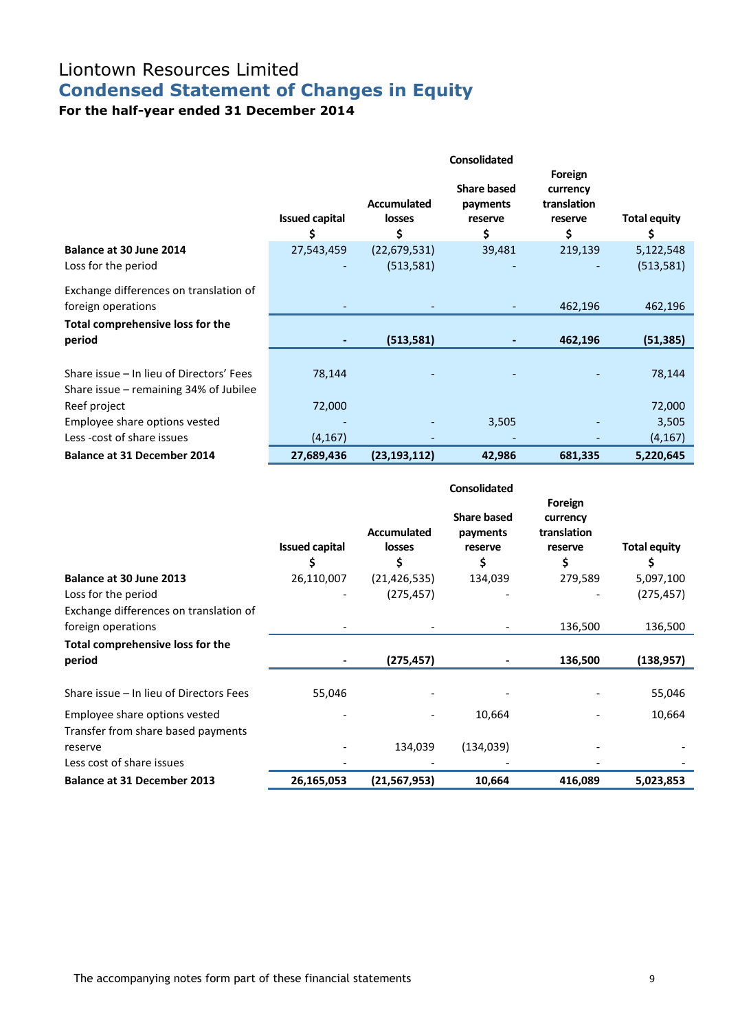# Liontown Resources Limited **Condensed Statement of Changes in Equity**

# **For the half-year ended 31 December 2014**

|                                                              |                             |                                    | <b>Consolidated</b>                             |                                                     |                           |
|--------------------------------------------------------------|-----------------------------|------------------------------------|-------------------------------------------------|-----------------------------------------------------|---------------------------|
|                                                              | <b>Issued capital</b><br>\$ | <b>Accumulated</b><br>losses<br>\$ | <b>Share based</b><br>payments<br>reserve<br>\$ | Foreign<br>currency<br>translation<br>reserve<br>\$ | <b>Total equity</b><br>\$ |
| Balance at 30 June 2014                                      | 27,543,459                  | (22, 679, 531)                     | 39,481                                          | 219,139                                             | 5,122,548                 |
| Loss for the period                                          |                             | (513, 581)                         |                                                 |                                                     | (513, 581)                |
| Exchange differences on translation of<br>foreign operations |                             |                                    |                                                 | 462,196                                             | 462,196                   |
| Total comprehensive loss for the                             |                             |                                    |                                                 |                                                     |                           |
| period                                                       |                             | (513, 581)                         |                                                 | 462,196                                             | (51, 385)                 |
| Share issue – In lieu of Directors' Fees                     | 78,144                      |                                    |                                                 |                                                     | 78,144                    |
| Share issue - remaining 34% of Jubilee                       |                             |                                    |                                                 |                                                     |                           |
| Reef project                                                 | 72,000                      |                                    |                                                 |                                                     | 72,000                    |
| Employee share options vested                                |                             |                                    | 3,505                                           |                                                     | 3,505                     |
| Less - cost of share issues                                  | (4, 167)                    |                                    |                                                 |                                                     | (4, 167)                  |
| <b>Balance at 31 December 2014</b>                           | 27,689,436                  | (23, 193, 112)                     | 42,986                                          | 681,335                                             | 5,220,645                 |

|                                         |                             |                                    | <b>Consolidated</b>                             |                                                     |                           |
|-----------------------------------------|-----------------------------|------------------------------------|-------------------------------------------------|-----------------------------------------------------|---------------------------|
|                                         | <b>Issued capital</b><br>\$ | <b>Accumulated</b><br>losses<br>\$ | <b>Share based</b><br>payments<br>reserve<br>\$ | Foreign<br>currency<br>translation<br>reserve<br>\$ | <b>Total equity</b><br>\$ |
| Balance at 30 June 2013                 | 26,110,007                  | (21, 426, 535)                     | 134,039                                         | 279,589                                             | 5,097,100                 |
| Loss for the period                     |                             | (275, 457)                         |                                                 |                                                     | (275, 457)                |
| Exchange differences on translation of  |                             |                                    |                                                 |                                                     |                           |
| foreign operations                      |                             |                                    |                                                 | 136,500                                             | 136,500                   |
| Total comprehensive loss for the        |                             |                                    |                                                 |                                                     |                           |
| period                                  |                             | (275, 457)                         |                                                 | 136,500                                             | (138, 957)                |
| Share issue - In lieu of Directors Fees | 55,046                      |                                    |                                                 |                                                     | 55,046                    |
| Employee share options vested           |                             |                                    | 10,664                                          |                                                     | 10,664                    |
| Transfer from share based payments      |                             |                                    |                                                 |                                                     |                           |
| reserve                                 |                             | 134,039                            | (134, 039)                                      |                                                     |                           |
| Less cost of share issues               |                             |                                    |                                                 |                                                     |                           |
| <b>Balance at 31 December 2013</b>      | 26,165,053                  | (21, 567, 953)                     | 10,664                                          | 416,089                                             | 5,023,853                 |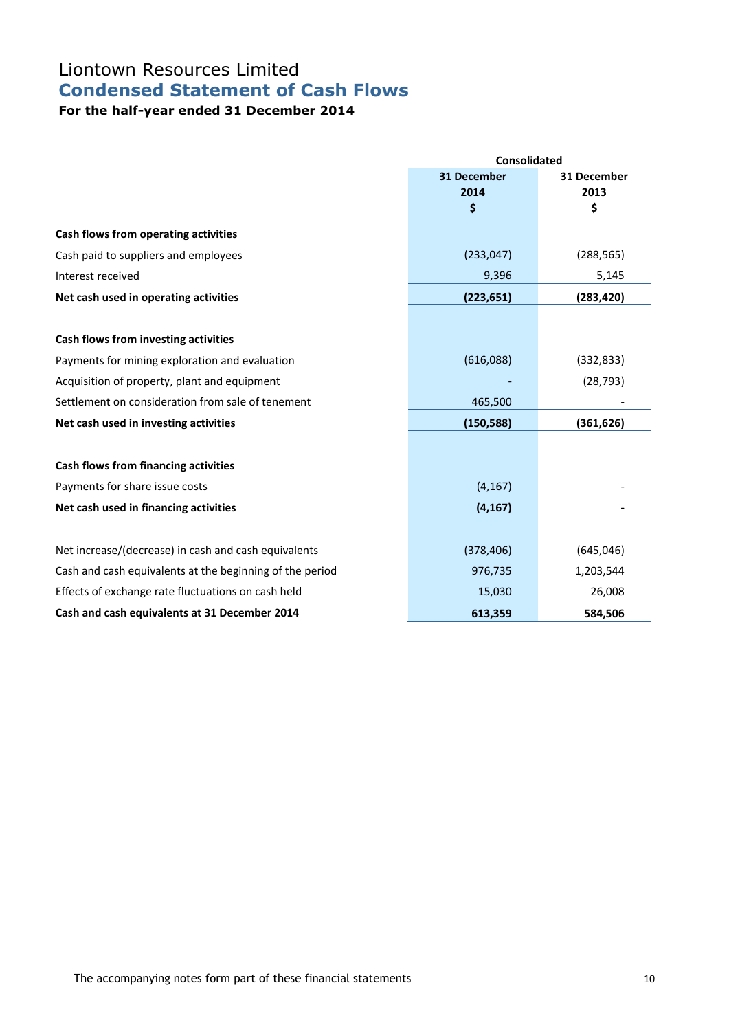# Liontown Resources Limited **Condensed Statement of Cash Flows**

# **For the half-year ended 31 December 2014**

|                                                          | <b>Consolidated</b> |             |  |  |
|----------------------------------------------------------|---------------------|-------------|--|--|
|                                                          | <b>31 December</b>  | 31 December |  |  |
|                                                          | 2014                | 2013        |  |  |
|                                                          | \$                  | \$          |  |  |
| Cash flows from operating activities                     |                     |             |  |  |
| Cash paid to suppliers and employees                     | (233, 047)          | (288, 565)  |  |  |
| Interest received                                        | 9,396               | 5,145       |  |  |
| Net cash used in operating activities                    | (223, 651)          | (283, 420)  |  |  |
|                                                          |                     |             |  |  |
| Cash flows from investing activities                     |                     |             |  |  |
| Payments for mining exploration and evaluation           | (616,088)           | (332, 833)  |  |  |
| Acquisition of property, plant and equipment             |                     | (28, 793)   |  |  |
| Settlement on consideration from sale of tenement        | 465,500             |             |  |  |
| Net cash used in investing activities                    | (150, 588)          | (361, 626)  |  |  |
| Cash flows from financing activities                     |                     |             |  |  |
| Payments for share issue costs                           | (4, 167)            |             |  |  |
| Net cash used in financing activities                    | (4, 167)            |             |  |  |
|                                                          |                     |             |  |  |
| Net increase/(decrease) in cash and cash equivalents     | (378, 406)          | (645, 046)  |  |  |
| Cash and cash equivalents at the beginning of the period | 976,735             | 1,203,544   |  |  |
| Effects of exchange rate fluctuations on cash held       | 15,030              | 26,008      |  |  |
| Cash and cash equivalents at 31 December 2014            | 613,359             | 584,506     |  |  |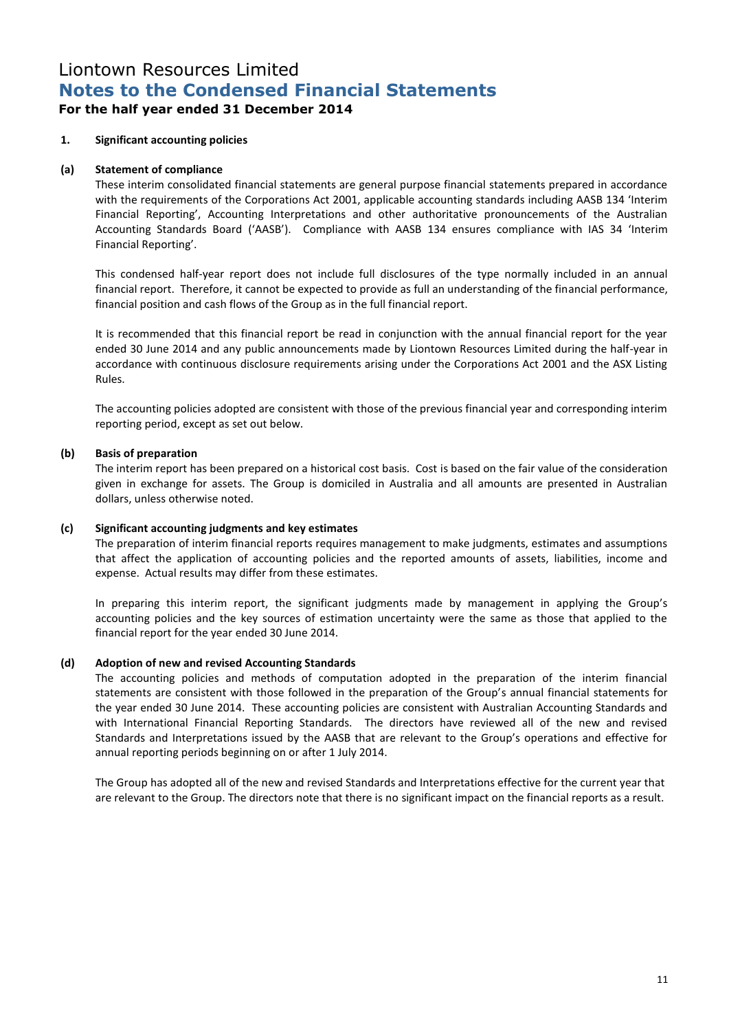# **1. Significant accounting policies**

#### **(a) Statement of compliance**

These interim consolidated financial statements are general purpose financial statements prepared in accordance with the requirements of the Corporations Act 2001, applicable accounting standards including AASB 134 'Interim Financial Reporting', Accounting Interpretations and other authoritative pronouncements of the Australian Accounting Standards Board ('AASB'). Compliance with AASB 134 ensures compliance with IAS 34 'Interim Financial Reporting'.

This condensed half-year report does not include full disclosures of the type normally included in an annual financial report. Therefore, it cannot be expected to provide as full an understanding of the financial performance, financial position and cash flows of the Group as in the full financial report.

It is recommended that this financial report be read in conjunction with the annual financial report for the year ended 30 June 2014 and any public announcements made by Liontown Resources Limited during the half-year in accordance with continuous disclosure requirements arising under the Corporations Act 2001 and the ASX Listing Rules.

The accounting policies adopted are consistent with those of the previous financial year and corresponding interim reporting period, except as set out below.

#### **(b) Basis of preparation**

The interim report has been prepared on a historical cost basis. Cost is based on the fair value of the consideration given in exchange for assets. The Group is domiciled in Australia and all amounts are presented in Australian dollars, unless otherwise noted.

#### **(c) Significant accounting judgments and key estimates**

The preparation of interim financial reports requires management to make judgments, estimates and assumptions that affect the application of accounting policies and the reported amounts of assets, liabilities, income and expense. Actual results may differ from these estimates.

In preparing this interim report, the significant judgments made by management in applying the Group's accounting policies and the key sources of estimation uncertainty were the same as those that applied to the financial report for the year ended 30 June 2014.

#### **(d) Adoption of new and revised Accounting Standards**

The accounting policies and methods of computation adopted in the preparation of the interim financial statements are consistent with those followed in the preparation of the Group's annual financial statements for the year ended 30 June 2014. These accounting policies are consistent with Australian Accounting Standards and with International Financial Reporting Standards. The directors have reviewed all of the new and revised Standards and Interpretations issued by the AASB that are relevant to the Group's operations and effective for annual reporting periods beginning on or after 1 July 2014.

The Group has adopted all of the new and revised Standards and Interpretations effective for the current year that are relevant to the Group. The directors note that there is no significant impact on the financial reports as a result.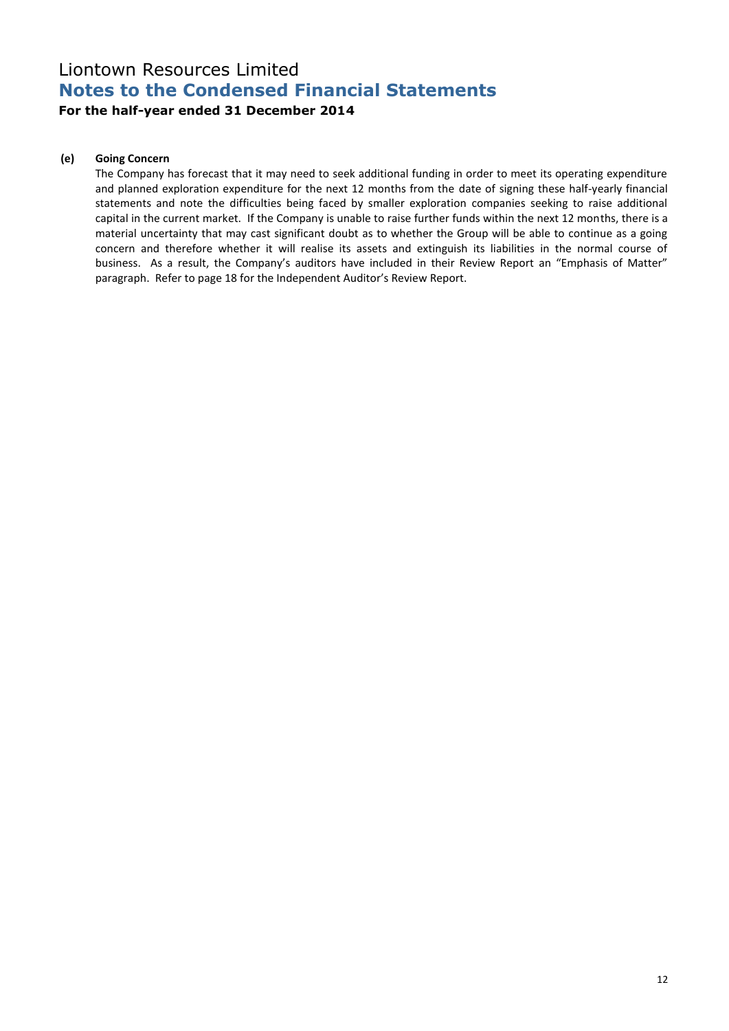# **(e) Going Concern**

The Company has forecast that it may need to seek additional funding in order to meet its operating expenditure and planned exploration expenditure for the next 12 months from the date of signing these half-yearly financial statements and note the difficulties being faced by smaller exploration companies seeking to raise additional capital in the current market. If the Company is unable to raise further funds within the next 12 months, there is a material uncertainty that may cast significant doubt as to whether the Group will be able to continue as a going concern and therefore whether it will realise its assets and extinguish its liabilities in the normal course of business. As a result, the Company's auditors have included in their Review Report an "Emphasis of Matter" paragraph. Refer to page 18 for the Independent Auditor's Review Report.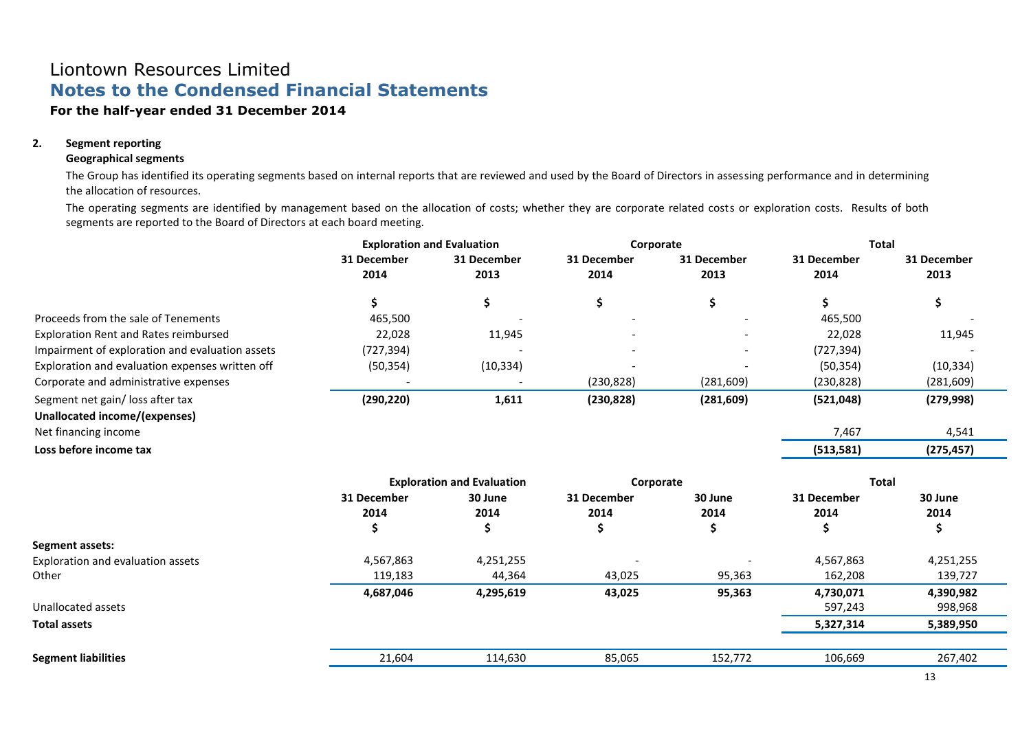# Liontown Resources Limited **Notes to the Condensed Financial Statements**

# **For the half-year ended 31 December 2014**

# **2. Segment reporting**

# **Geographical segments**

The Group has identified its operating segments based on internal reports that are reviewed and used by the Board of Directors in assessing performance and in determining the allocation of resources.

The operating segments are identified by management based on the allocation of costs; whether they are corporate related costs or exploration costs. Results of both segments are reported to the Board of Directors at each board meeting.

|                                                 | <b>Exploration and Evaluation</b> |                                   | Corporate                 |                       | <b>Total</b>             |                       |
|-------------------------------------------------|-----------------------------------|-----------------------------------|---------------------------|-----------------------|--------------------------|-----------------------|
|                                                 | 31 December<br>2014               | 31 December<br>2013               | 31 December<br>2014       | 31 December<br>2013   | 31 December<br>2014      | 31 December<br>2013   |
|                                                 | \$                                | \$                                | \$                        | \$                    | \$                       | \$                    |
| Proceeds from the sale of Tenements             | 465,500                           |                                   |                           |                       | 465,500                  |                       |
| <b>Exploration Rent and Rates reimbursed</b>    | 22,028                            | 11,945                            |                           |                       | 22,028                   | 11,945                |
| Impairment of exploration and evaluation assets | (727, 394)                        |                                   |                           |                       | (727, 394)               |                       |
| Exploration and evaluation expenses written off | (50, 354)                         | (10, 334)                         |                           |                       | (50, 354)                | (10, 334)             |
| Corporate and administrative expenses           |                                   |                                   | (230, 828)                | (281, 609)            | (230, 828)               | (281, 609)            |
| Segment net gain/loss after tax                 | (290, 220)                        | 1,611                             | (230, 828)                | (281, 609)            | (521, 048)               | (279, 998)            |
| <b>Unallocated income/(expenses)</b>            |                                   |                                   |                           |                       |                          |                       |
| Net financing income                            |                                   |                                   |                           |                       | 7,467                    | 4,541                 |
| Loss before income tax                          |                                   |                                   |                           |                       | (513, 581)               | (275, 457)            |
|                                                 |                                   | <b>Exploration and Evaluation</b> | Corporate                 |                       | <b>Total</b>             |                       |
|                                                 | 31 December<br>2014<br>\$         | 30 June<br>2014<br>\$             | 31 December<br>2014<br>\$ | 30 June<br>2014<br>\$ | 31 December<br>2014<br>S | 30 June<br>2014<br>\$ |
| Segment assets:                                 |                                   |                                   |                           |                       |                          |                       |
| Exploration and evaluation assets               | 4,567,863                         | 4,251,255                         |                           |                       | 4,567,863                | 4,251,255             |
| Other                                           | 119,183                           | 44,364                            | 43,025                    | 95,363                | 162,208                  | 139,727               |
|                                                 | 4,687,046                         | 4,295,619                         | 43,025                    | 95,363                | 4,730,071                | 4,390,982             |
| Unallocated assets                              |                                   |                                   |                           |                       | 597,243                  | 998,968               |
| <b>Total assets</b>                             |                                   |                                   |                           |                       | 5,327,314                | 5,389,950             |
|                                                 |                                   |                                   |                           |                       |                          |                       |
| <b>Segment liabilities</b>                      | 21,604                            | 114,630                           | 85,065                    | 152,772               | 106,669                  | 267,402               |
|                                                 |                                   |                                   |                           |                       |                          |                       |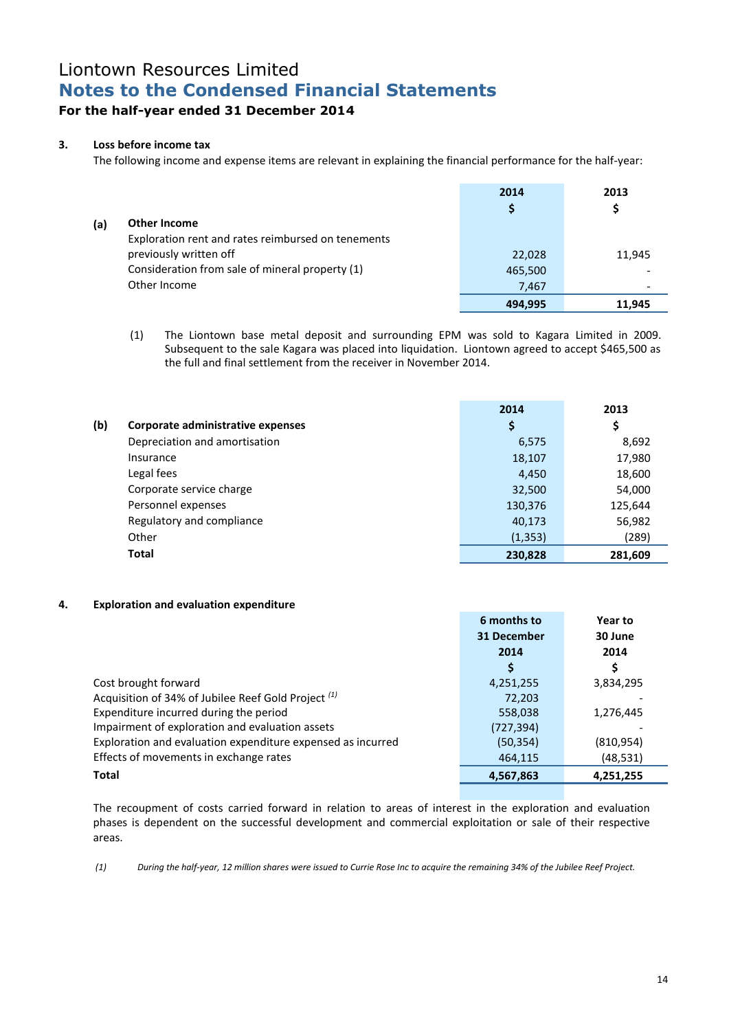# **3. Loss before income tax**

The following income and expense items are relevant in explaining the financial performance for the half-year:

| (a) | <b>Other Income</b><br>Exploration rent and rates reimbursed on tenements | 2014<br>S | 2013<br>\$ |
|-----|---------------------------------------------------------------------------|-----------|------------|
|     | previously written off                                                    | 22,028    | 11,945     |
|     | Consideration from sale of mineral property (1)                           | 465,500   |            |
|     | Other Income                                                              | 7,467     |            |
|     |                                                                           | 494.995   | 11,945     |

(1) The Liontown base metal deposit and surrounding EPM was sold to Kagara Limited in 2009. Subsequent to the sale Kagara was placed into liquidation. Liontown agreed to accept \$465,500 as the full and final settlement from the receiver in November 2014.

|                                   | 2014     | 2013    |
|-----------------------------------|----------|---------|
| Corporate administrative expenses | \$       | \$      |
| Depreciation and amortisation     | 6,575    | 8,692   |
| Insurance                         | 18,107   | 17,980  |
| Legal fees                        | 4,450    | 18,600  |
| Corporate service charge          | 32,500   | 54,000  |
| Personnel expenses                | 130,376  | 125,644 |
| Regulatory and compliance         | 40,173   | 56,982  |
| Other                             | (1, 353) | (289)   |
| <b>Total</b>                      | 230,828  | 281,609 |
|                                   |          |         |

## **4. Exploration and evaluation expenditure**

|                                                                | 6 months to | Year to    |
|----------------------------------------------------------------|-------------|------------|
|                                                                | 31 December | 30 June    |
|                                                                | 2014        | 2014       |
|                                                                | \$          | \$         |
| Cost brought forward                                           | 4,251,255   | 3,834,295  |
| Acquisition of 34% of Jubilee Reef Gold Project <sup>(1)</sup> | 72,203      |            |
| Expenditure incurred during the period                         | 558,038     | 1,276,445  |
| Impairment of exploration and evaluation assets                | (727, 394)  |            |
| Exploration and evaluation expenditure expensed as incurred    | (50, 354)   | (810, 954) |
| Effects of movements in exchange rates                         | 464,115     | (48, 531)  |
| <b>Total</b>                                                   | 4,567,863   | 4,251,255  |

The recoupment of costs carried forward in relation to areas of interest in the exploration and evaluation phases is dependent on the successful development and commercial exploitation or sale of their respective areas.

*(1) During the half-year, 12 million shares were issued to Currie Rose Inc to acquire the remaining 34% of the Jubilee Reef Project.*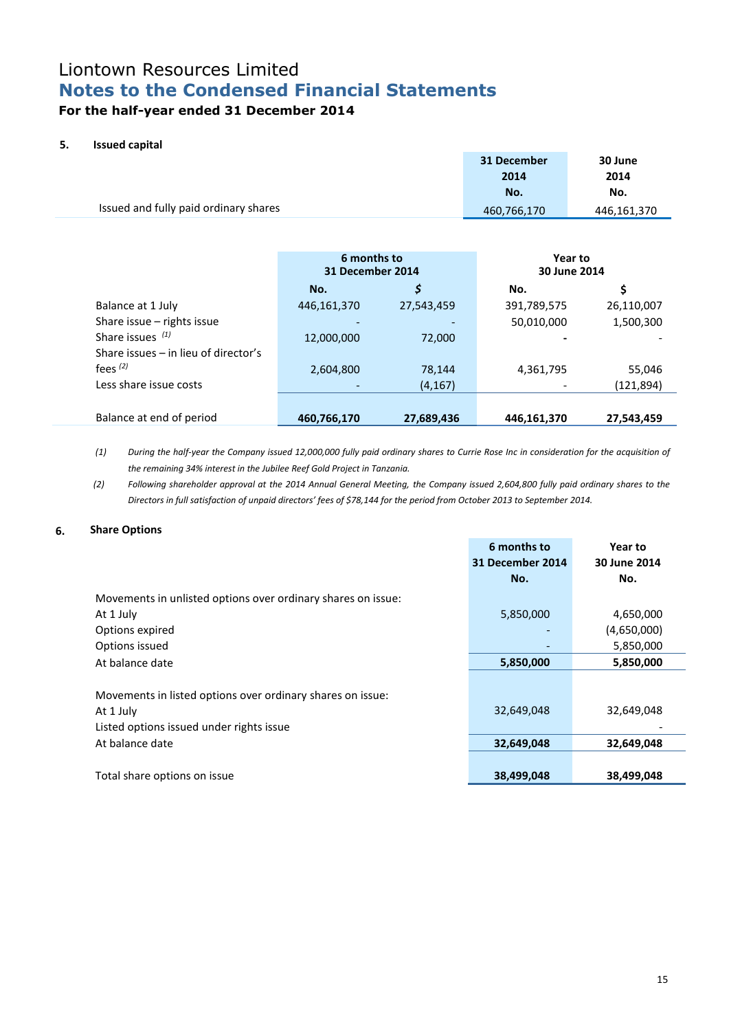# **5. Issued capital**

|                                       | 31 December | 30 June     |
|---------------------------------------|-------------|-------------|
|                                       | 2014        | 2014        |
|                                       | No.         | No.         |
| Issued and fully paid ordinary shares | 460,766,170 | 446,161,370 |

|                                        | 6 months to<br>31 December 2014 |            | Year to<br>30 June 2014 |            |
|----------------------------------------|---------------------------------|------------|-------------------------|------------|
|                                        | No.                             | Ş          | No.                     | \$         |
| Balance at 1 July                      | 446,161,370                     | 27,543,459 | 391,789,575             | 26,110,007 |
| Share issue $-$ rights issue           |                                 |            | 50,010,000              | 1,500,300  |
| Share issues $(1)$                     | 12,000,000                      | 72,000     |                         |            |
| Share issues $-$ in lieu of director's |                                 |            |                         |            |
| fees $(2)$                             | 2,604,800                       | 78,144     | 4,361,795               | 55,046     |
| Less share issue costs                 |                                 | (4, 167)   |                         | (121,894)  |
|                                        |                                 |            |                         |            |
| Balance at end of period               | 460,766,170                     | 27,689,436 | 446,161,370             | 27,543,459 |

*(1) During the half-year the Company issued 12,000,000 fully paid ordinary shares to Currie Rose Inc in consideration for the acquisition of the remaining 34% interest in the Jubilee Reef Gold Project in Tanzania.* 

*(2) Following shareholder approval at the 2014 Annual General Meeting, the Company issued 2,604,800 fully paid ordinary shares to the Directors in full satisfaction of unpaid directors' fees of \$78,144 for the period from October 2013 to September 2014.* 

# **6. Share Options**

| 31 December 2014<br>30 June 2014<br>No.<br>No.<br>Movements in unlisted options over ordinary shares on issue:<br>5,850,000<br>4,650,000<br>At 1 July<br>(4,650,000)<br>Options expired<br>Options issued<br>5,850,000<br>At balance date<br>5,850,000<br>5,850,000 | 6 months to | Year to |
|---------------------------------------------------------------------------------------------------------------------------------------------------------------------------------------------------------------------------------------------------------------------|-------------|---------|
|                                                                                                                                                                                                                                                                     |             |         |
|                                                                                                                                                                                                                                                                     |             |         |
|                                                                                                                                                                                                                                                                     |             |         |
|                                                                                                                                                                                                                                                                     |             |         |
|                                                                                                                                                                                                                                                                     |             |         |
|                                                                                                                                                                                                                                                                     |             |         |
|                                                                                                                                                                                                                                                                     |             |         |
|                                                                                                                                                                                                                                                                     |             |         |
| Movements in listed options over ordinary shares on issue:                                                                                                                                                                                                          |             |         |
| 32,649,048<br>32,649,048<br>At 1 July                                                                                                                                                                                                                               |             |         |
| Listed options issued under rights issue                                                                                                                                                                                                                            |             |         |
| 32,649,048<br>32,649,048<br>At balance date                                                                                                                                                                                                                         |             |         |
|                                                                                                                                                                                                                                                                     |             |         |
| 38,499,048<br>38,499,048<br>Total share options on issue                                                                                                                                                                                                            |             |         |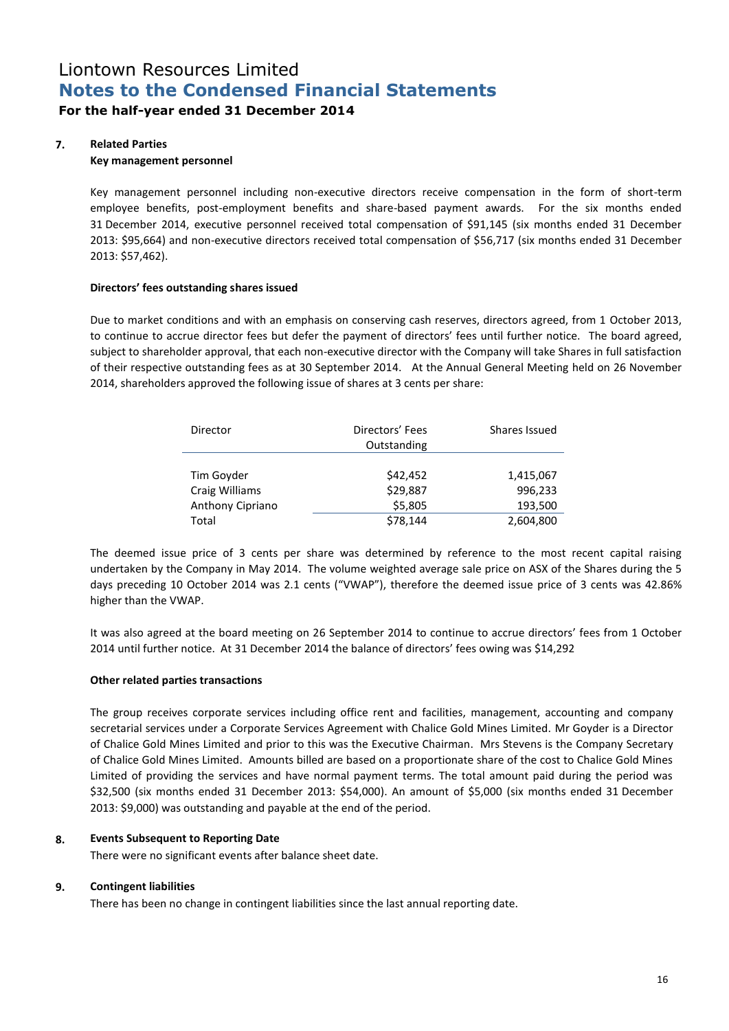# **7. Related Parties**

## **Key management personnel**

Key management personnel including non-executive directors receive compensation in the form of short-term employee benefits, post-employment benefits and share-based payment awards. For the six months ended 31 December 2014, executive personnel received total compensation of \$91,145 (six months ended 31 December 2013: \$95,664) and non-executive directors received total compensation of \$56,717 (six months ended 31 December 2013: \$57,462).

## **Directors' fees outstanding shares issued**

Due to market conditions and with an emphasis on conserving cash reserves, directors agreed, from 1 October 2013, to continue to accrue director fees but defer the payment of directors' fees until further notice. The board agreed, subject to shareholder approval, that each non-executive director with the Company will take Shares in full satisfaction of their respective outstanding fees as at 30 September 2014. At the Annual General Meeting held on 26 November 2014, shareholders approved the following issue of shares at 3 cents per share:

| Director         | Directors' Fees<br>Outstanding | Shares Issued |
|------------------|--------------------------------|---------------|
|                  |                                |               |
| Tim Goyder       | \$42,452                       | 1,415,067     |
| Craig Williams   | \$29,887                       | 996,233       |
| Anthony Cipriano | \$5,805                        | 193,500       |
| Total            | \$78,144                       | 2,604,800     |

The deemed issue price of 3 cents per share was determined by reference to the most recent capital raising undertaken by the Company in May 2014. The volume weighted average sale price on ASX of the Shares during the 5 days preceding 10 October 2014 was 2.1 cents ("VWAP"), therefore the deemed issue price of 3 cents was 42.86% higher than the VWAP.

It was also agreed at the board meeting on 26 September 2014 to continue to accrue directors' fees from 1 October 2014 until further notice. At 31 December 2014 the balance of directors' fees owing was \$14,292

## **Other related parties transactions**

The group receives corporate services including office rent and facilities, management, accounting and company secretarial services under a Corporate Services Agreement with Chalice Gold Mines Limited. Mr Goyder is a Director of Chalice Gold Mines Limited and prior to this was the Executive Chairman. Mrs Stevens is the Company Secretary of Chalice Gold Mines Limited. Amounts billed are based on a proportionate share of the cost to Chalice Gold Mines Limited of providing the services and have normal payment terms. The total amount paid during the period was \$32,500 (six months ended 31 December 2013: \$54,000). An amount of \$5,000 (six months ended 31 December 2013: \$9,000) was outstanding and payable at the end of the period.

## **8. Events Subsequent to Reporting Date**

There were no significant events after balance sheet date.

## **9. Contingent liabilities**

There has been no change in contingent liabilities since the last annual reporting date.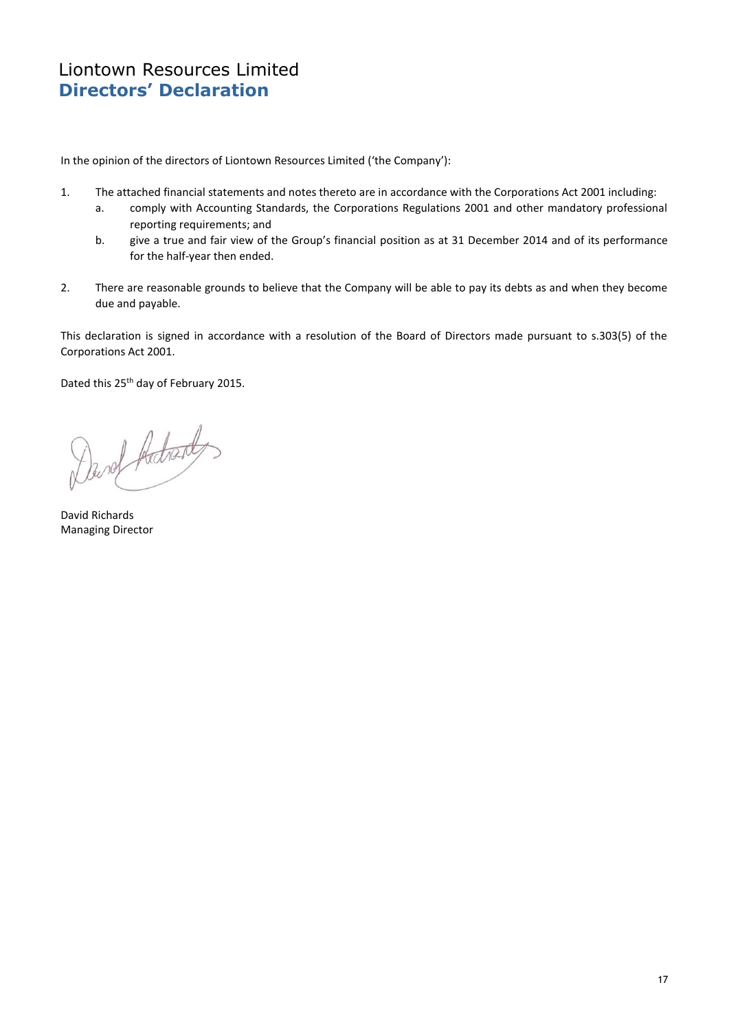# Liontown Resources Limited **Directors' Declaration**

In the opinion of the directors of Liontown Resources Limited ('the Company'):

- 1. The attached financial statements and notes thereto are in accordance with the Corporations Act 2001 including:
	- a. comply with Accounting Standards, the Corporations Regulations 2001 and other mandatory professional reporting requirements; and
	- b. give a true and fair view of the Group's financial position as at 31 December 2014 and of its performance for the half-year then ended.
- 2. There are reasonable grounds to believe that the Company will be able to pay its debts as and when they become due and payable.

This declaration is signed in accordance with a resolution of the Board of Directors made pursuant to s.303(5) of the Corporations Act 2001.

Dated this 25th day of February 2015.

David Archards

David Richards Managing Director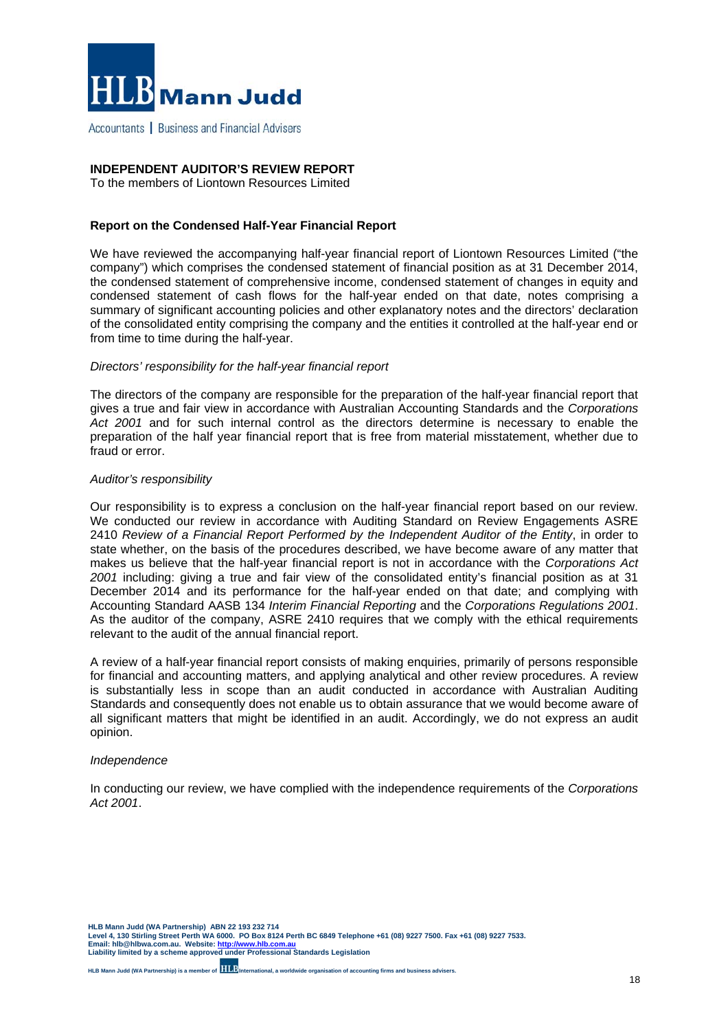

Accountants | Business and Financial Advisers

# **INDEPENDENT AUDITOR'S REVIEW REPORT**

To the members of Liontown Resources Limited

# **Report on the Condensed Half-Year Financial Report**

We have reviewed the accompanying half-year financial report of Liontown Resources Limited ("the company") which comprises the condensed statement of financial position as at 31 December 2014, the condensed statement of comprehensive income, condensed statement of changes in equity and condensed statement of cash flows for the half-year ended on that date, notes comprising a summary of significant accounting policies and other explanatory notes and the directors' declaration of the consolidated entity comprising the company and the entities it controlled at the half-year end or from time to time during the half-year.

#### *Directors' responsibility for the half-year financial report*

The directors of the company are responsible for the preparation of the half-year financial report that gives a true and fair view in accordance with Australian Accounting Standards and the *Corporations Act 2001* and for such internal control as the directors determine is necessary to enable the preparation of the half year financial report that is free from material misstatement, whether due to fraud or error.

#### *Auditor's responsibility*

Our responsibility is to express a conclusion on the half-year financial report based on our review. We conducted our review in accordance with Auditing Standard on Review Engagements ASRE 2410 *Review of a Financial Report Performed by the Independent Auditor of the Entity*, in order to state whether, on the basis of the procedures described, we have become aware of any matter that makes us believe that the half-year financial report is not in accordance with the *Corporations Act 2001* including: giving a true and fair view of the consolidated entity's financial position as at 31 December 2014 and its performance for the half-year ended on that date; and complying with Accounting Standard AASB 134 *Interim Financial Reporting* and the *Corporations Regulations 2001*. As the auditor of the company, ASRE 2410 requires that we comply with the ethical requirements relevant to the audit of the annual financial report.

A review of a half-year financial report consists of making enquiries, primarily of persons responsible for financial and accounting matters, and applying analytical and other review procedures. A review is substantially less in scope than an audit conducted in accordance with Australian Auditing Standards and consequently does not enable us to obtain assurance that we would become aware of all significant matters that might be identified in an audit. Accordingly, we do not express an audit opinion.

#### *Independence*

In conducting our review, we have complied with the independence requirements of the *Corporations Act 2001*.

**HLB Mann Judd (WA Partnership) ABN 22 193 232 714 Level 4, 130 Stirling Street Perth WA 6000. PO Box 8124 Perth BC 6849 Telephone +61 (08) 9227 7500. Fax +61 (08) 9227 7533. Email: hlb@hlbwa.com.au. Website: http://www.hlb.com.au Liability limited by a scheme approved under Professional Standards Legislation** 

**HLB Mann Judd (WA Partnership) is a member of International, a worldwide organisation of accounting firms and business advisers.**